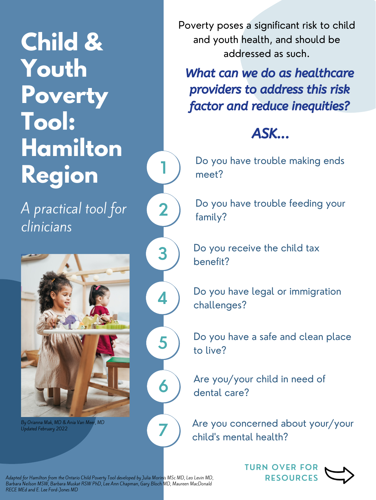

**1**

**2**

Do you have trouble making ends meet?

**Child & Youth Poverty Tool: Hamilton Region** A practical tool for clinicians

Adapted for Hamilton from the Ontario Child Poverty Tool developed by Julia Morinis MSc MD, Leo Levin MD, Barbara Neilson MSW, Barbara Muskat RSW PhD, Lee Ann Chapman, Gary Bloch MD, Maureen MacDonald RECE MEd and E. Lee Ford-Jones MD

Poverty poses a significant risk to child and youth health, and should be addressed as such.



What can we do as healthcare providers to address this risk factor and reduce inequities?

# ASK...

Do you have trouble feeding your family?

Do you receive the child tax

# benefit?

Do you have a safe and clean place to live?

Do you have legal or immigration challenges?

Are you/your child in need of dental care?

Are you concerned about your/your child' s mental health?



By Orianna Mak, MD & Ania Van Meer, MD Updated February 2022